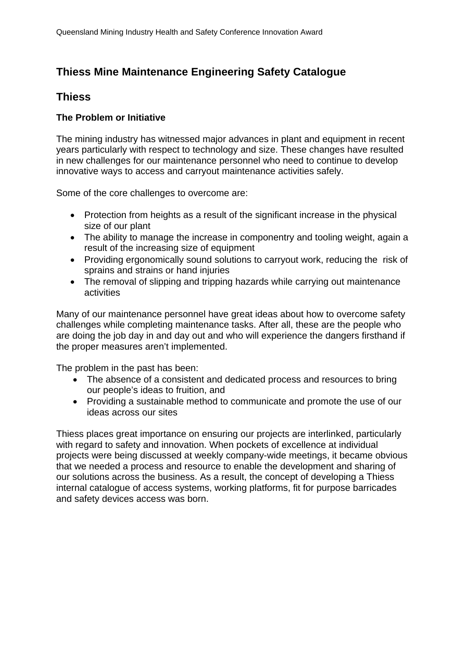# **Thiess Mine Maintenance Engineering Safety Catalogue**

## **Thiess**

### **The Problem or Initiative**

The mining industry has witnessed major advances in plant and equipment in recent years particularly with respect to technology and size. These changes have resulted in new challenges for our maintenance personnel who need to continue to develop innovative ways to access and carryout maintenance activities safely.

Some of the core challenges to overcome are:

- Protection from heights as a result of the significant increase in the physical size of our plant
- The ability to manage the increase in componentry and tooling weight, again a result of the increasing size of equipment
- Providing ergonomically sound solutions to carryout work, reducing the risk of sprains and strains or hand injuries
- The removal of slipping and tripping hazards while carrying out maintenance activities

Many of our maintenance personnel have great ideas about how to overcome safety challenges while completing maintenance tasks. After all, these are the people who are doing the job day in and day out and who will experience the dangers firsthand if the proper measures aren't implemented.

The problem in the past has been:

- The absence of a consistent and dedicated process and resources to bring our people's ideas to fruition, and
- Providing a sustainable method to communicate and promote the use of our ideas across our sites

Thiess places great importance on ensuring our projects are interlinked, particularly with regard to safety and innovation. When pockets of excellence at individual projects were being discussed at weekly company-wide meetings, it became obvious that we needed a process and resource to enable the development and sharing of our solutions across the business. As a result, the concept of developing a Thiess internal catalogue of access systems, working platforms, fit for purpose barricades and safety devices access was born.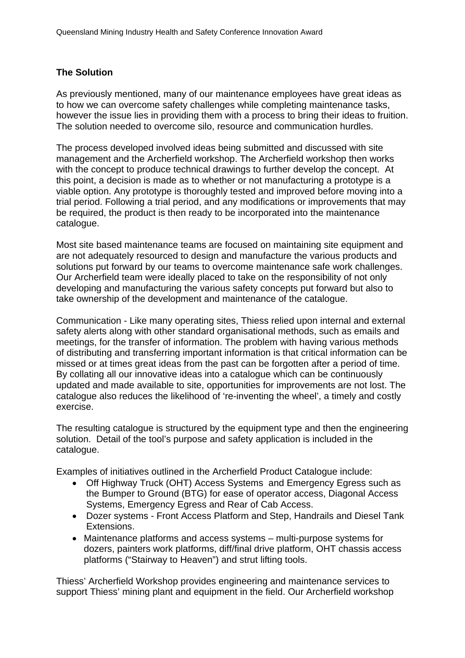#### **The Solution**

As previously mentioned, many of our maintenance employees have great ideas as to how we can overcome safety challenges while completing maintenance tasks, however the issue lies in providing them with a process to bring their ideas to fruition. The solution needed to overcome silo, resource and communication hurdles.

The process developed involved ideas being submitted and discussed with site management and the Archerfield workshop. The Archerfield workshop then works with the concept to produce technical drawings to further develop the concept. At this point, a decision is made as to whether or not manufacturing a prototype is a viable option. Any prototype is thoroughly tested and improved before moving into a trial period. Following a trial period, and any modifications or improvements that may be required, the product is then ready to be incorporated into the maintenance catalogue.

Most site based maintenance teams are focused on maintaining site equipment and are not adequately resourced to design and manufacture the various products and solutions put forward by our teams to overcome maintenance safe work challenges. Our Archerfield team were ideally placed to take on the responsibility of not only developing and manufacturing the various safety concepts put forward but also to take ownership of the development and maintenance of the catalogue.

Communication - Like many operating sites, Thiess relied upon internal and external safety alerts along with other standard organisational methods, such as emails and meetings, for the transfer of information. The problem with having various methods of distributing and transferring important information is that critical information can be missed or at times great ideas from the past can be forgotten after a period of time. By collating all our innovative ideas into a catalogue which can be continuously updated and made available to site, opportunities for improvements are not lost. The catalogue also reduces the likelihood of 're-inventing the wheel', a timely and costly exercise.

The resulting catalogue is structured by the equipment type and then the engineering solution. Detail of the tool's purpose and safety application is included in the catalogue.

Examples of initiatives outlined in the Archerfield Product Catalogue include:

- Off Highway Truck (OHT) Access Systems and Emergency Egress such as the Bumper to Ground (BTG) for ease of operator access, Diagonal Access Systems, Emergency Egress and Rear of Cab Access.
- Dozer systems Front Access Platform and Step, Handrails and Diesel Tank Extensions.
- Maintenance platforms and access systems multi-purpose systems for dozers, painters work platforms, diff/final drive platform, OHT chassis access platforms ("Stairway to Heaven") and strut lifting tools.

Thiess' Archerfield Workshop provides engineering and maintenance services to support Thiess' mining plant and equipment in the field. Our Archerfield workshop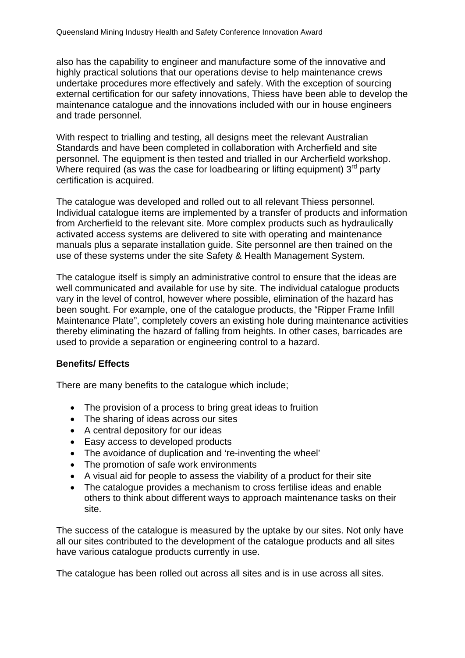also has the capability to engineer and manufacture some of the innovative and highly practical solutions that our operations devise to help maintenance crews undertake procedures more effectively and safely. With the exception of sourcing external certification for our safety innovations, Thiess have been able to develop the maintenance catalogue and the innovations included with our in house engineers and trade personnel.

With respect to trialling and testing, all designs meet the relevant Australian Standards and have been completed in collaboration with Archerfield and site personnel. The equipment is then tested and trialled in our Archerfield workshop. Where required (as was the case for loadbearing or lifting equipment)  $3<sup>rd</sup>$  party certification is acquired.

The catalogue was developed and rolled out to all relevant Thiess personnel. Individual catalogue items are implemented by a transfer of products and information from Archerfield to the relevant site. More complex products such as hydraulically activated access systems are delivered to site with operating and maintenance manuals plus a separate installation guide. Site personnel are then trained on the use of these systems under the site Safety & Health Management System.

The catalogue itself is simply an administrative control to ensure that the ideas are well communicated and available for use by site. The individual catalogue products vary in the level of control, however where possible, elimination of the hazard has been sought. For example, one of the catalogue products, the "Ripper Frame Infill Maintenance Plate", completely covers an existing hole during maintenance activities thereby eliminating the hazard of falling from heights. In other cases, barricades are used to provide a separation or engineering control to a hazard.

#### **Benefits/ Effects**

There are many benefits to the catalogue which include;

- The provision of a process to bring great ideas to fruition
- The sharing of ideas across our sites
- A central depository for our ideas
- Easy access to developed products
- The avoidance of duplication and 're-inventing the wheel'
- The promotion of safe work environments
- A visual aid for people to assess the viability of a product for their site
- The catalogue provides a mechanism to cross fertilise ideas and enable others to think about different ways to approach maintenance tasks on their site.

The success of the catalogue is measured by the uptake by our sites. Not only have all our sites contributed to the development of the catalogue products and all sites have various catalogue products currently in use.

The catalogue has been rolled out across all sites and is in use across all sites.